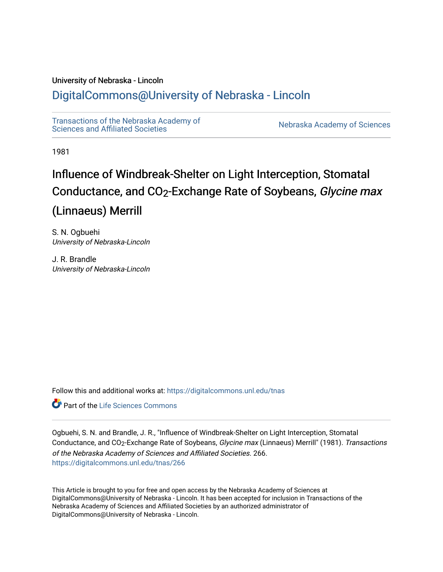# University of Nebraska - Lincoln

# [DigitalCommons@University of Nebraska - Lincoln](https://digitalcommons.unl.edu/)

[Transactions of the Nebraska Academy of](https://digitalcommons.unl.edu/tnas)  Transactions of the Nebraska Academy of Sciences<br>Sciences and Affiliated Societies

1981

# Influence of Windbreak-Shelter on Light Interception, Stomatal Conductance, and CO2-Exchange Rate of Soybeans, Glycine max (Linnaeus) Merrill

S. N. Ogbuehi University of Nebraska-Lincoln

J. R. Brandle University of Nebraska-Lincoln

Follow this and additional works at: [https://digitalcommons.unl.edu/tnas](https://digitalcommons.unl.edu/tnas?utm_source=digitalcommons.unl.edu%2Ftnas%2F266&utm_medium=PDF&utm_campaign=PDFCoverPages) 

Part of the [Life Sciences Commons](http://network.bepress.com/hgg/discipline/1016?utm_source=digitalcommons.unl.edu%2Ftnas%2F266&utm_medium=PDF&utm_campaign=PDFCoverPages) 

Ogbuehi, S. N. and Brandle, J. R., "Influence of Windbreak-Shelter on Light Interception, Stomatal Conductance, and CO<sub>2</sub>-Exchange Rate of Soybeans, Glycine max (Linnaeus) Merrill" (1981). Transactions of the Nebraska Academy of Sciences and Affiliated Societies. 266. [https://digitalcommons.unl.edu/tnas/266](https://digitalcommons.unl.edu/tnas/266?utm_source=digitalcommons.unl.edu%2Ftnas%2F266&utm_medium=PDF&utm_campaign=PDFCoverPages) 

This Article is brought to you for free and open access by the Nebraska Academy of Sciences at DigitalCommons@University of Nebraska - Lincoln. It has been accepted for inclusion in Transactions of the Nebraska Academy of Sciences and Affiliated Societies by an authorized administrator of DigitalCommons@University of Nebraska - Lincoln.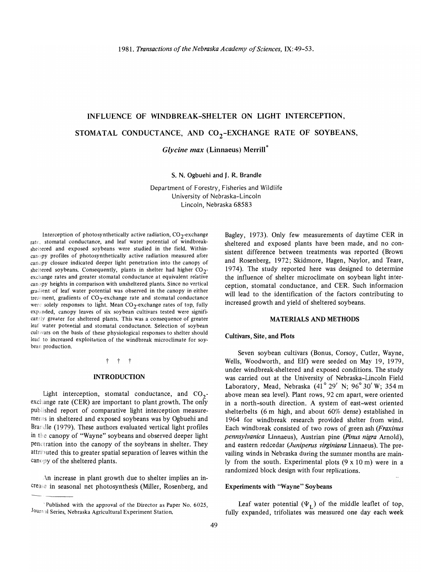# INFLUENCE OF WINDBREAK-SHELTER ON LIGHT INTERCEPTION, STOMATAL CONDUCTANCE, AND  $CO_2$ -EXCHANGE RATE OF SOYBEANS,

*Glycine max* (Linnaeus) Merrill\*

S. N. Ogbuehi and J. R. Brandle

Department of Forestry, Fisheries and Wildlife University of Nebraska-Lincoln Lincoln, Nebraska 68583

Interception of photosynthetically active radiation,  $CO_2$ -exchange rate, stomatal conductance, and leaf water potential of windbreaksheltered and exposed soybeans were studied in the field. Withincanopy profiles of photosynthetically active radiation measured after canopy closure indicated deeper light penetration into the canopy of sheltered soybeans. Consequently, plants in shelter had higher  $CO_2$ exchange rates and greater stomatal conductance at equivalent relative canopy heights in comparison with unsheltered plants. Since no vertical gradient of leaf water potential was observed in the canopy in either treatment, gradients of  $CO_2$ -exchange rate and stomatal conductance were solely responses to light. Mean CO<sub>2</sub>-exchange rates of top, fully expanded, canopy leaves of six soybean cultivars tested were significantly greater for sheltered plants. This was a consequence of greater leaf water potential and stomatal conductance. Selection of soybean cultivars on the basis of these physiological responses to shelter should lead to increased exploitation of the windbreak microclimate for soybean production.

#### t t t

#### INTRODUCTION

Light interception, stomatal conductance, and  $CO_2$ exchange rate (CER) are important to plant growth. The only published report of comparative light interception measurements in sheltered and exposed soybeans was by Ogbuehi and Brandle (1979). These authors evaluated vertical light proflles in the canopy of "Wayne" soybeans and observed deeper light penetration into the canopy of the soybeans in shelter. They attributed this to greater spatial separation of leaves within the canopy of the sheltered plants.

An increase in plant growth due to shelter implies an increase in seasonal net photosynthesis (Miller, Rosenberg, and Bagley, 1973). Only few measurements of daytime CER in sheltered and exposed plants have been made, and no consistent difference between treatments was reported (Brown and Rosenberg, 1972; Skidmore, Hagen, Naylor, and Teare, 1974). The study reported here was designed to determine the influence of shelter microclimate on soybean light interception, stomatal conductance, and CER. Such information will lead to the identification of the factors contributing to increased growth and yield of sheltered soybeans.

#### MATERIALS AND METHODS

#### Cultivars, Site, and Plots

Seven soybean cultivars (Bonus, Corsoy, Cutler, Wayne, Wells, Woodworth, and Elf) were seeded on May 19, 1979, under windbreak-sheltered and exposed conditions. The study was carried out at the University of Nebraska-Lincoln Field Laboratory, Mead, Nebraska (41° 29' N; 96° 30' W; 354 m above mean sea level). Plant rows, 92 em apart, were oriented in a north-south direction. A system of east-west oriented shelterbelts (6 m high, and about 60% dense) established in 1964 for windbreak research provided shelter from wind. Each windbreak consisted of two rows of green ash *(Fraxinus pennsylvanica* Linnaeus), Austrian pine *(pinus nigra* Arnold), and eastern redcedar *(Juniperus virginiana* Linnaeus). The prevailing winds in Nebraska during the summer months are mainly from the south. Experimental plots (9 x 10 m) were in a randomized block design with four replications.

## Experiments with "Wayne" Soybeans

Leaf water potential  $(\Psi_I)$  of the middle leaflet of top, fully expanded, trifoliates was measured one day each week

<sup>&</sup>lt;sup>\*</sup>Published with the approval of the Director as Paper No. 6025, Journal Series, Nebraska Agricultural Experiment Station.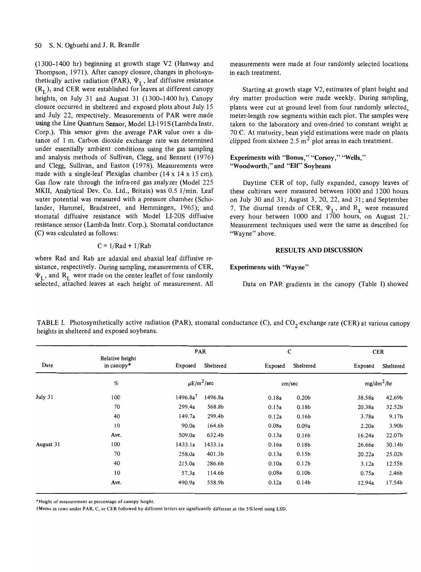(1300-1400 hr) beginning at growth stage V2 (Hanway and Thompson, 1971). After canopy closure, changes in photosynthetically active radiation (PAR),  $\Psi_L$ , leaf diffusive resistance  $(R<sub>I</sub>)$ , and CER were established for leaves at different canopy heights, on July 31 and August 31 (1300-1400 hr). Canopy closure occurred in sheltered and exposed plots about July 15 and July 22, respectively. Measurements of PAR were made using the Line Quantum Sensor, Model LI-191S (Lambda Instr. Corp.). This sensor gives the average PAR value over a distance of 1 m. Carbon dioxide exchange rate was determined under essentially ambient conditions using the gas sampling and analysis methods of Sullivan, Clegg, and Bennett (1976) and Clegg, Sullivan, and Easton (1978). Measurements were made with a single-leaf Plexiglas chamber (14 x 14 x 15 cm). Gas flow rate through the infra-red gas analyzer (Model 225 MKII, Analytical Dev. Co. Ltd., Britain) was 0.5 l/min. Leaf water potential was measured with a pressure chamber (Scholander, Hammel, Bradstreet, and Hemmingen, 1965); and stomatal diffusive resistance with Model LI-20S diffusive resistance sensor (Lambda Instr. Corp.). Stomatal conductance (C) was calculated as follows:

$$
C = 1/Rad + 1/Rab
$$

where Rad and Rab are adaxial and abaxial leaf diffusive resistance, respectively. During sampling, measurements of CER,  $\Psi_I$ , and R<sub>I</sub> were made on the center leaflet of four randomly selected, attached leaves at each height of measurement. All measurements were made at four randomly selected locations in each treatment.

Starting at growth stage V2, estimates of plant height and dry matter production were made weekly. During sampling, plants were cut at ground level from four randomly selected, meter-length row segments within each plot. The samples were taken to the laboratory and oven-dried to constant weight at 70 C. At maturity, bean yield estimations were made on plants clipped from sixteen 2.5  $m^2$  plot areas in each treatment.

## Experiments with "Bonus," "Corsoy," "Wells," "Woodworth," and "Elf" Soybeans

Daytime CER of top, fully expanded, canopy leaves of these cultivars were measured between 1000 and 1200 hours on July 30 and 31; August 3, 20, 22, and 31; and September on July 50 and 51; August 5, 20, 22, and 51; and September 7. The diurnal trends of CER,  $\Psi_I$ , and  $R_I$  were measured every hour between 1000 and 1700 hours, on August 21. Measurement techniques used were the same as described for "Wayne" above.

#### RESULTS AND DISCUSSION

Experiments with "Wayne"

Data on PAR gradients in the canopy (Table I) showed

TABLE I. Photosynthetically active radiation (PAR), stomatal conductance (C), and  $CO_2$ -exchange rate (CER) at various canopy heights in sheltered and exposed soybeans.

| Date      | Relative height<br>in canopy* | PAR                    |           | C       |                   | CER          |           |
|-----------|-------------------------------|------------------------|-----------|---------|-------------------|--------------|-----------|
|           |                               | Exposed                | Sheltered | Exposed | Sheltered         | Exposed      | Sheltered |
|           | $\%$                          | $\mu E/m^2/sec$        |           | cm/sec  |                   | $mg/dm^2/hr$ |           |
| July 31   | 100                           | $1496.8a$ <sup>t</sup> | 1496.8a   | 0.18a   | 0.20 <sub>b</sub> | 38.58a       | 42.69b    |
|           | 70                            | 299.4a                 | 568.8b    | 0.15a   | 0.18 <sub>b</sub> | 20.38a       | 32.52b    |
|           | 40                            | 149.7a                 | 299.4b    | 0.12a   | 0.16b             | 3.78a        | 9.17b     |
|           | 10                            | 90.0a                  | 164.6b    | 0.08a   | 0.09a             | 2.20a        | 3.90b     |
|           | Ave.                          | 509.0a                 | 632.4b    | 0.13a   | 0.16b             | 16.24a       | 22.07b    |
| August 31 | 100                           | 1433.1a                | 1433.1a   | 0.16a   | 0.18b             | 26.66a       | 30.14b    |
|           | 70                            | 258.0a                 | 401.3b    | 0.13a   | 0.15 <sub>b</sub> | 20.22a       | 25.02b    |
|           | 40                            | 215.0a                 | 286.6b    | 0.10a   | 0.12 <sub>b</sub> | 3.12a        | 12.55b    |
|           | 10                            | 57.3a                  | 114.6b    | 0.08a   | 0.10 <sub>b</sub> | 0.75a        | 2.46b     |
|           | Ave.                          | 490.9a                 | 558.9b    | 0.12a   | 0.14 <sub>b</sub> | 12.94a       | 17.54b    |

'Height of measurement as percentage of canopy height.

tMeans in rows under PAR, C, or CER followed by different letters are significantly different at the 5%level using LSD.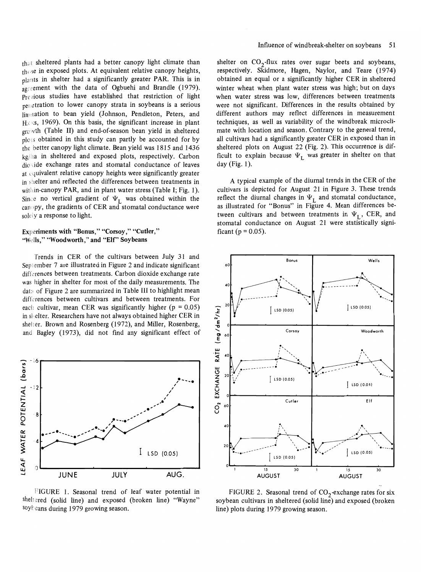that sheltered plants had a better canopy light climate than these in exposed plots. At equivalent relative canopy heights, plants in shelter had a significantly greater PAR. This is in agreement with the data of Ogbuehi and Brandle (1979). Previous studies have established that restriction of light penetration to lower canopy strata in soybeans is a serious limitation to bean yield (Johnson, Pendleton, Peters, and Hic ks, 1969). On this basis, the significant increase in plant growth (Table II) and end-of-season bean yield in sheltered  $p$ lots obtained in this study can partly be accounted for by the better canopy light climate. Bean yield was 1815 and 1436 kg/ha in sheltered and exposed plots, respectively. Carbon dioxide exchange rates and stomatal conductance of leaves at equivalent relative canopy heights were significantly greater in shelter and reflected the differences between treatments in within-canopy PAR, and in plant water stress (Table I; Fig. 1). Since no vertical gradient of  $\Psi_L$  was obtained within the canopy, the gradients of CER and stomatal conductance were solety a response to light.

### Experiments with "Bonus," "Corsoy," "Cutler," "Wells," "Woodworth," and "Elf" Soybeans

Trends in CER of the cultivars between July 31 and September 7 are illustrated in Figure 2 and indicate significant differences between treatments. Carbon dioxide exchange rate was higher in shelter for most of the daily measurements. The data of Figure 2 are summarized in Table III to highlight mean differences between cultivars and between treatments. For each cultivar, mean CER was significantly higher  $(p = 0.05)$ in shelter. Researchers have not always obtained higher CER in shelter. Brown and Rosenberg (1972), and Miller, Rosenberg, and Bagley (1973), did not fmd any significant effect of



FIGURE 1. Seasonal trend of leaf water potential in sheltered (solid line) and exposed (broken line) "Wayne" soyheans during 1979 growing season.

shelter on  $CO<sub>2</sub>$ -flux rates over sugar beets and soybeans, respectively. Skidmore, Hagen, Naylor, and Teare (1974) obtained an equal or a significantly higher CER in sheltered winter wheat when plant water stress was high; but on days when water stress was low, differences between treatments were not significant. Differences in the results obtained by different authors may reflect differences in measurement techniques, as well as variability of the windbreak microclimate with location and season. Contrary to the general trend, all cultivars had a significantly greater CER in exposed than in sheltered plots on August 22 (Fig. 2). This occurrence is difficult to explain because  $\Psi_L$  was greater in shelter on that day (Fig. 1).

A typical example of the diurnal trends in the CER of the cultivars is depicted for August 21 in Figure 3. These trends reflect the diurnal changes in  $\Psi_L$  and stomatal conductance, as illustrated for "Bonus" in Figure 4. Mean differences between cultivars and between treatments in  $\Psi_{\text{I}}$ , CER, and stomatal conductance on August 21 were statistically significant ( $p = 0.05$ ).



FIGURE 2. Seasonal trend of  $CO<sub>2</sub>$ -exchange rates for six soybean cultivars in sheltered (solid line) and exposed (broken line) plots during 1979 growing season.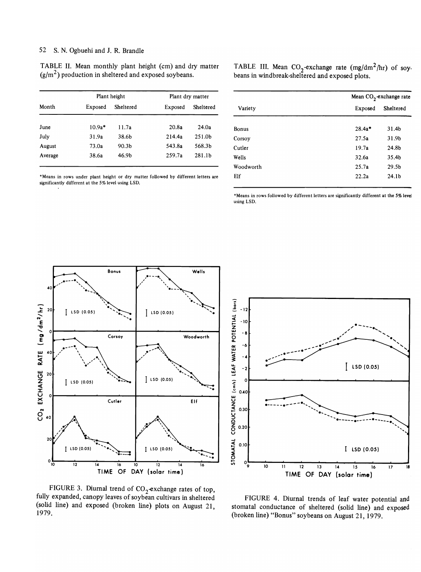#### 52 S. N. Ogbuehi and J. R. Brandle

TABLE II. Mean monthly plant height (cm) and dry matter  $(g/m^2)$  production in sheltered and exposed soybeans.

|         |          | Plant height | Plant dry matter |           |  |
|---------|----------|--------------|------------------|-----------|--|
| Month   | Exposed  | Sheltered    | Exposed          | Sheltered |  |
| June    | $10.9a*$ | 11.7a        | 20.8a            | 24.0a     |  |
| July    | 31.9a    | 38.6b        | 214.4a           | 251.0b    |  |
| August  | 73.0a    | 90.3b        | 543.8a           | 568.3b    |  |
| Average | 38.6a    | 46.9b        | 259.7a           | 281.1b    |  |

'Means in rows under plant height or dry matter followed by different letters are significantly different at the 5% level using LSD.

TABLE III. Mean  $CO_2$ -exchange rate  $(mg/dm^2/hr)$  of soy. beans in windbreak-sheltered and exposed plots.

| Mean $CO2$ -exchange rate |                   |  |  |
|---------------------------|-------------------|--|--|
| Exposed                   |                   |  |  |
| $28.4a*$                  | 31.4b             |  |  |
| 27.5a                     | 31.9b             |  |  |
| 19.7a                     | 24.8b             |  |  |
| 32.6a                     | 35.4b             |  |  |
| 25.7a                     | 29.5 <sub>b</sub> |  |  |
| 22.2a                     | 24.1 <sub>b</sub> |  |  |
|                           |                   |  |  |

'Means in rows followed by different letters are significantly different at the 5% level using LSD.





FIGURE 3. Diurnal trend of  $CO_2$ -exchange rates of top, fully expanded, canopy leaves of soybean cultivars in sheltered (solid line) and exposed (broken line) plots on August 21, 1979.

FIGURE 4. Diurnal trends of leaf water potential and stomatal conductance of sheltered (solid line) and exposed (broken line) "Bonus" soybeans on August 21,1979.